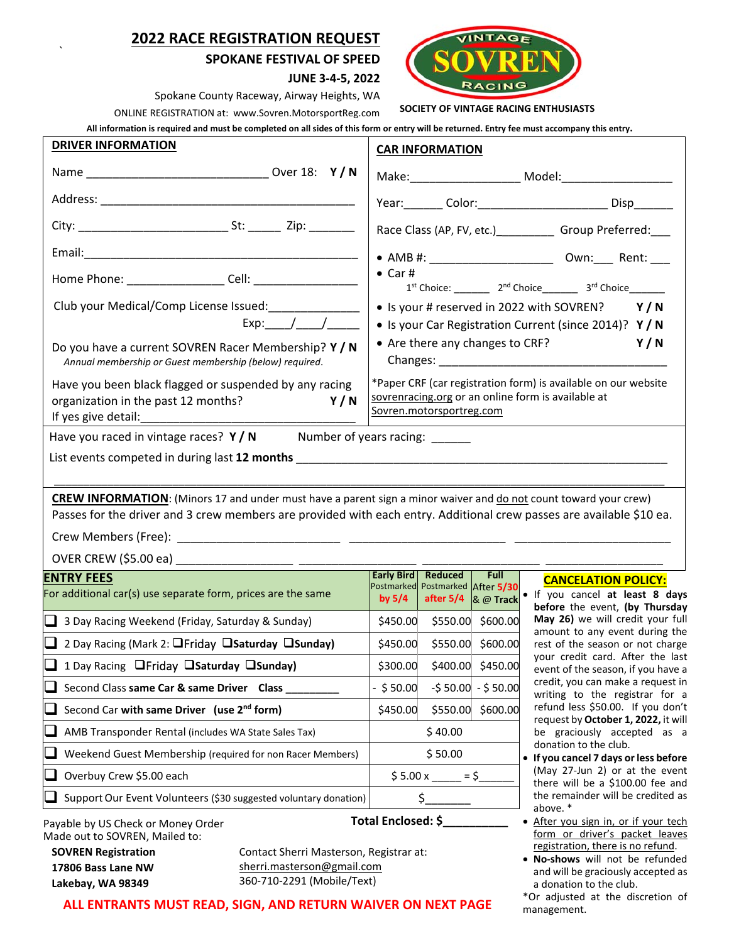## **2022 RACE REGISTRATION REQUEST**

`

#### **SPOKANE FESTIVAL OF SPEED**



**JUNE 3‐4‐5, 2022** 

Spokane County Raceway, Airway Heights, WA

ONLINE REGISTRATION at: www.Sovren.MotorsportReg.com  **SOCIETY OF VINTAGE RACING ENTHUSIASTS** 

**All information is required and must be completed on all sides of this form or entry will be returned. Entry fee must accompany this entry.** 

| <b>DRIVER INFORMATION</b>                                                                                                                                                                                                                       | <b>CAR INFORMATION</b>                                                                                                                                                                                                                                                  |
|-------------------------------------------------------------------------------------------------------------------------------------------------------------------------------------------------------------------------------------------------|-------------------------------------------------------------------------------------------------------------------------------------------------------------------------------------------------------------------------------------------------------------------------|
|                                                                                                                                                                                                                                                 |                                                                                                                                                                                                                                                                         |
|                                                                                                                                                                                                                                                 | Year: Color: Color: Color: Color: Color: Color: Color: Color: Color: Color: Color: Color: Color: Color: Color:                                                                                                                                                          |
|                                                                                                                                                                                                                                                 | Race Class (AP, FV, etc.)______________ Group Preferred:____                                                                                                                                                                                                            |
|                                                                                                                                                                                                                                                 | • AMB #: _________________________________ Own:_____ Rent: ____                                                                                                                                                                                                         |
|                                                                                                                                                                                                                                                 | $\bullet$ Car #<br>$1^{st}$ Choice: ____________ $2^{nd}$ Choice_____________ $3^{rd}$ Choice_________                                                                                                                                                                  |
| Club your Medical/Comp License Issued: _______________<br>Exp: $/$ /                                                                                                                                                                            | • Is your # reserved in 2022 with SOVREN?<br>Y/N<br>• Is your Car Registration Current (since 2014)? Y / N                                                                                                                                                              |
| Do you have a current SOVREN Racer Membership? Y / N<br>Annual membership or Guest membership (below) required.                                                                                                                                 | Y/N<br>• Are there any changes to CRF?<br>Changes: National Changes: National Changes: National Changes: National Changes of Changes and Changes of Changes and Changes and Changes and Changes and Changes and Changes and Changes and Changes and Changes and Changes |
| Have you been black flagged or suspended by any racing<br>organization in the past 12 months?<br>Y/N                                                                                                                                            | *Paper CRF (car registration form) is available on our website<br>sovrenracing.org or an online form is available at<br>Sovren.motorsportreg.com                                                                                                                        |
| Have you raced in vintage races? $Y/N$ Number of years racing:                                                                                                                                                                                  |                                                                                                                                                                                                                                                                         |
|                                                                                                                                                                                                                                                 |                                                                                                                                                                                                                                                                         |
|                                                                                                                                                                                                                                                 |                                                                                                                                                                                                                                                                         |
| <b>CREW INFORMATION:</b> (Minors 17 and under must have a parent sign a minor waiver and do not count toward your crew)<br>Passes for the driver and 3 crew members are provided with each entry. Additional crew passes are available \$10 ea. |                                                                                                                                                                                                                                                                         |
|                                                                                                                                                                                                                                                 |                                                                                                                                                                                                                                                                         |
|                                                                                                                                                                                                                                                 |                                                                                                                                                                                                                                                                         |
| <b>ENTRY FEES</b>                                                                                                                                                                                                                               | Early Bird   Reduced<br><b>Full</b><br><b>CANCELATION POLICY:</b>                                                                                                                                                                                                       |
| For additional car(s) use separate form, prices are the same                                                                                                                                                                                    | Postmarked Postmarked After 5/30<br>. If you cancel at least 8 days<br>after $5/4$ & @ Track<br>by $5/4$<br>before the event, (by Thursday                                                                                                                              |
| $\Box$ 3 Day Racing Weekend (Friday, Saturday & Sunday)                                                                                                                                                                                         | May 26) we will credit your full<br>\$450.00 \$550.00 \$600.00<br>amount to any event during the                                                                                                                                                                        |
| $\Box$ 2 Day Racing (Mark 2: $\Box$ Friday $\Box$ Saturday $\Box$ Sunday)                                                                                                                                                                       | \$550.00 \$600.00<br>\$450.00<br>rest of the season or not charge                                                                                                                                                                                                       |
| 1 Day Racing Ofriday Osaturday Osunday)                                                                                                                                                                                                         | your credit card. After the last<br>\$400.00 \$450.00<br>\$300.00<br>event of the season, if you have a                                                                                                                                                                 |
| Second Class same Car & same Driver Class                                                                                                                                                                                                       | credit, you can make a request in<br>$-$ \$ 50.00<br>$-550.00 - 550.00$<br>writing to the registrar for a                                                                                                                                                               |
| Second Car with same Driver (use 2 <sup>nd</sup> form)                                                                                                                                                                                          | refund less \$50.00. If you don't<br>\$450.00<br>\$550.00<br>\$600.00<br>request by October 1, 2022, it will                                                                                                                                                            |
| AMB Transponder Rental (includes WA State Sales Tax)                                                                                                                                                                                            | \$40.00<br>be graciously accepted as a                                                                                                                                                                                                                                  |
| Weekend Guest Membership (required for non Racer Members)                                                                                                                                                                                       | donation to the club.<br>\$50.00<br>• If you cancel 7 days or less before                                                                                                                                                                                               |
| Overbuy Crew \$5.00 each                                                                                                                                                                                                                        | (May 27-Jun 2) or at the event<br>$$5.00 x = $$<br>there will be a \$100.00 fee and                                                                                                                                                                                     |
| Support Our Event Volunteers (\$30 suggested voluntary donation)                                                                                                                                                                                | the remainder will be credited as<br>\$.<br>above. *                                                                                                                                                                                                                    |
| Payable by US Check or Money Order<br>Made out to SOVREN, Mailed to:<br><b>SOVREN Registration</b><br>Contact Sherri Masterson, Registrar at:                                                                                                   | Total Enclosed: \$<br>After you sign in, or if your tech<br>form or driver's packet leaves<br>registration, there is no refund.<br>No chouse will not be refunded                                                                                                       |

**17806 Bass Lane NW Lakebay, WA 98349**

sherri.masterson@gmail.com 360‐710‐2291 (Mobile/Text)

**ALL ENTRANTS MUST READ, SIGN, AND RETURN WAIVER ON NEXT PAGE** 

- (May 27‐Jun 2) or at the event there will be a \$100.00 fee and the remainder will be credited as
- form or driver's packet leaves
- **No‐shows** will not be refunded and will be graciously accepted as a donation to the club.

\*Or adjusted at the discretion of management.